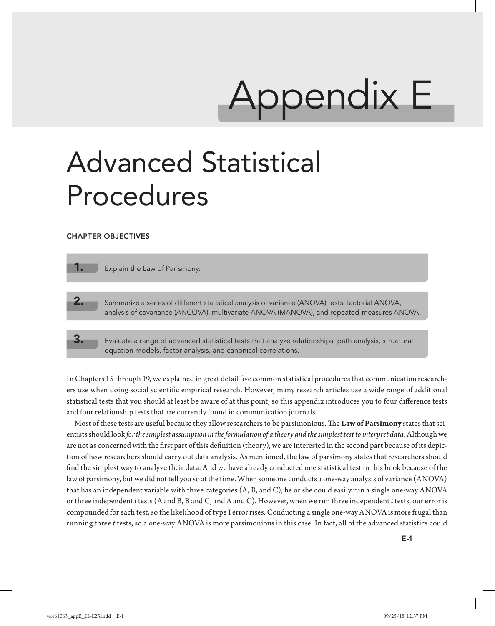# Appendix E

# Advanced Statistical Procedures

#### CHAPTER OBJECTIVES

Explain the Law of Parismony. 2. Summarize a series of different statistical analysis of variance (ANOVA) tests: factorial ANOVA, analysis of covariance (ANCOVA), multivariate ANOVA (MANOVA), and repeated-measures ANOVA.

Evaluate a range of advanced statistical tests that analyze relationships: path analysis, structural equation models, factor analysis, and canonical correlations.

In Chapters 15 through 19, we explained in great detail five common statistical procedures that communication researchers use when doing social scientific empirical research. However, many research articles use a wide range of additional statistical tests that you should at least be aware of at this point, so this appendix introduces you to four difference tests and four relationship tests that are currently found in communication journals.

Most of these tests are useful because they allow researchers to be parsimonious. The **Law of Parsimony** states that scientists should look *for the simplest assumption in the formulation of a theory and the simplest test to interpret data*. Although we are not as concerned with the first part of this definition (theory), we are interested in the second part because of its depiction of how researchers should carry out data analysis. As mentioned, the law of parsimony states that researchers should find the simplest way to analyze their data. And we have already conducted one statistical test in this book because of the law of parsimony, but we did not tell you so at the time. When someone conducts a one-way analysis of variance (ANOVA) that has an independent variable with three categories (A, B, and C), he or she could easily run a single one-way ANOVA or three independent *t* tests (A and B, B and C, and A and C). However, when we run three independent *t* tests, our error is compounded for each test, so the likelihood of type I error rises. Conducting a single one-way ANOVA is more frugal than running three *t* tests, so a one-way ANOVA is more parsimonious in this case. In fact, all of the advanced statistics could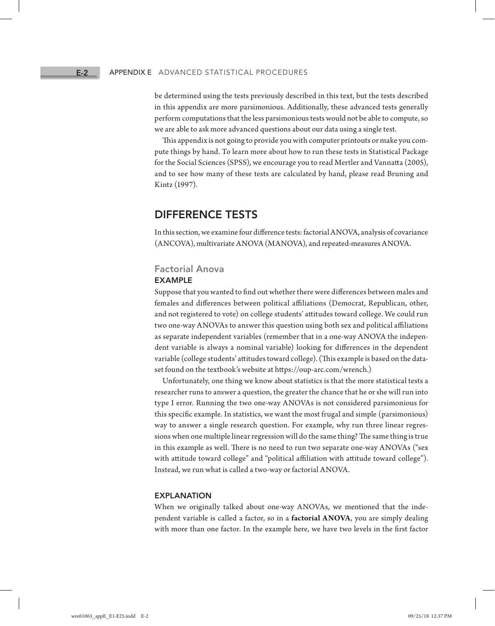be determined using the tests previously described in this text, but the tests described in this appendix are more parsimonious. Additionally, these advanced tests generally perform computations that the less parsimonious tests would not be able to compute, so we are able to ask more advanced questions about our data using a single test.

This appendix is not going to provide you with computer printouts or make you compute things by hand. To learn more about how to run these tests in Statistical Package for the Social Sciences (SPSS), we encourage you to read Mertler and Vannatta (2005), and to see how many of these tests are calculated by hand, please read Bruning and Kintz (1997).

# DIFFERENCE TESTS

In this section, we examine four difference tests: factorial ANOVA, analysis of covariance (ANCOVA), multivariate ANOVA (MANOVA), and repeated-measures ANOVA.

#### Factorial Anova

#### EXAMPLE

Suppose that you wanted to find out whether there were differences between males and females and differences between political affiliations (Democrat, Republican, other, and not registered to vote) on college students' attitudes toward college. We could run two one-way ANOVAs to answer this question using both sex and political affiliations as separate independent variables (remember that in a one-way ANOVA the independent variable is always a nominal variable) looking for differences in the dependent variable (college students' attitudes toward college). (This example is based on the dataset found on the textbook's website at https://oup-arc.com/wrench.)

Unfortunately, one thing we know about statistics is that the more statistical tests a researcher runs to answer a question, the greater the chance that he or she will run into type I error. Running the two one-way ANOVAs is not considered parsimonious for this specific example. In statistics, we want the most frugal and simple (parsimonious) way to answer a single research question. For example, why run three linear regressions when one multiple linear regression will do the same thing? The same thing is true in this example as well. There is no need to run two separate one-way ANOVAs ("sex with attitude toward college" and "political affiliation with attitude toward college"). Instead, we run what is called a two-way or factorial ANOVA.

#### EXPLANATION

When we originally talked about one-way ANOVAs, we mentioned that the independent variable is called a factor, so in a **factorial ANOVA**, you are simply dealing with more than one factor. In the example here, we have two levels in the first factor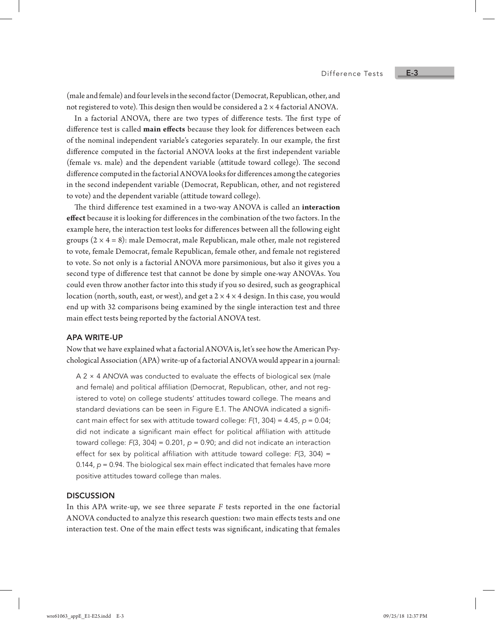(male and female) and four levels in the second factor (Democrat, Republican, other, and not registered to vote). This design then would be considered a  $2 \times 4$  factorial ANOVA.

In a factorial ANOVA, there are two types of difference tests. The first type of difference test is called **main effects** because they look for differences between each of the nominal independent variable's categories separately. In our example, the first difference computed in the factorial ANOVA looks at the first independent variable (female vs. male) and the dependent variable (attitude toward college). The second difference computed in the factorial ANOVA looks for differences among the categories in the second independent variable (Democrat, Republican, other, and not registered to vote) and the dependent variable (attitude toward college).

The third difference test examined in a two-way ANOVA is called an **interaction effect** because it is looking for differences in the combination of the two factors. In the example here, the interaction test looks for differences between all the following eight groups  $(2 \times 4 = 8)$ : male Democrat, male Republican, male other, male not registered to vote, female Democrat, female Republican, female other, and female not registered to vote. So not only is a factorial ANOVA more parsimonious, but also it gives you a second type of difference test that cannot be done by simple one-way ANOVAs. You could even throw another factor into this study if you so desired, such as geographical location (north, south, east, or west), and get a  $2 \times 4 \times 4$  design. In this case, you would end up with 32 comparisons being examined by the single interaction test and three main effect tests being reported by the factorial ANOVA test.

#### APA WRITE-UP

Now that we have explained what a factorial ANOVA is, let's see how the American Psychological Association (APA) write-up of a factorial ANOVA would appear in a journal:

A 2 × 4 ANOVA was conducted to evaluate the effects of biological sex (male and female) and political affiliation (Democrat, Republican, other, and not registered to vote) on college students' attitudes toward college. The means and standard deviations can be seen in Figure E.1. The ANOVA indicated a significant main effect for sex with attitude toward college: *F*(1, 304) = 4.45, *p* = 0.04; did not indicate a significant main effect for political affiliation with attitude toward college: *F*(3, 304) = 0.201, *p* = 0.90; and did not indicate an interaction effect for sex by political affiliation with attitude toward college: *F*(3, 304) = 0.144, *p* = 0.94. The biological sex main effect indicated that females have more positive attitudes toward college than males.

#### **DISCUSSION**

In this APA write-up, we see three separate *F* tests reported in the one factorial ANOVA conducted to analyze this research question: two main effects tests and one interaction test. One of the main effect tests was significant, indicating that females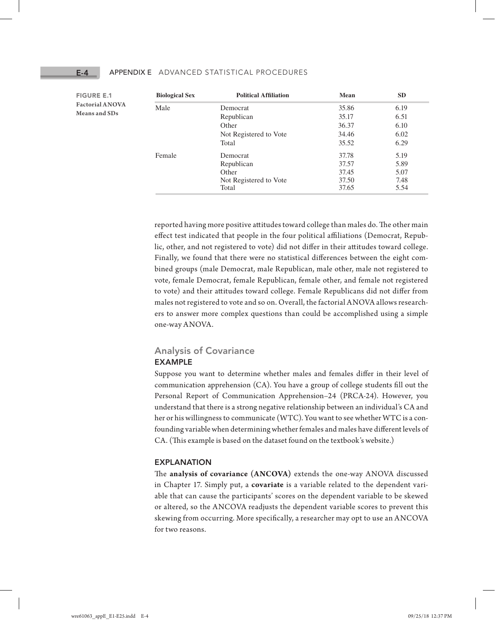| <b>Biological Sex</b> | <b>Political Affiliation</b> | Mean  | <b>SD</b> |
|-----------------------|------------------------------|-------|-----------|
| Male                  | Democrat                     | 35.86 | 6.19      |
|                       | Republican                   | 35.17 | 6.51      |
|                       | Other                        | 36.37 | 6.10      |
|                       | Not Registered to Vote       | 34.46 | 6.02      |
|                       | Total                        | 35.52 | 6.29      |
| Female                | Democrat                     | 37.78 | 5.19      |
|                       | Republican                   | 37.57 | 5.89      |
|                       | Other                        | 37.45 | 5.07      |
|                       | Not Registered to Vote       | 37.50 | 7.48      |
|                       | Total                        | 37.65 | 5.54      |

reported having more positive attitudes toward college than males do. The other main effect test indicated that people in the four political affiliations (Democrat, Republic, other, and not registered to vote) did not differ in their attitudes toward college. Finally, we found that there were no statistical differences between the eight combined groups (male Democrat, male Republican, male other, male not registered to vote, female Democrat, female Republican, female other, and female not registered to vote) and their attitudes toward college. Female Republicans did not differ from males not registered to vote and so on. Overall, the factorial ANOVA allows researchers to answer more complex questions than could be accomplished using a simple one-way ANOVA.

## Analysis of Covariance EXAMPLE

Suppose you want to determine whether males and females differ in their level of communication apprehension (CA). You have a group of college students fill out the Personal Report of Communication Apprehension–24 (PRCA-24). However, you understand that there is a strong negative relationship between an individual's CA and her or his willingness to communicate (WTC). You want to see whether WTC is a confounding variable when determining whether females and males have different levels of CA. (This example is based on the dataset found on the textbook's website.)

#### EXPLANATION

The **analysis of covariance (ANCOVA)** extends the one-way ANOVA discussed in Chapter 17. Simply put, a **covariate** is a variable related to the dependent variable that can cause the participants' scores on the dependent variable to be skewed or altered, so the ANCOVA readjusts the dependent variable scores to prevent this skewing from occurring. More specifically, a researcher may opt to use an ANCOVA for two reasons.

FIGURE E.1 **Factorial ANOVA Means and SDs**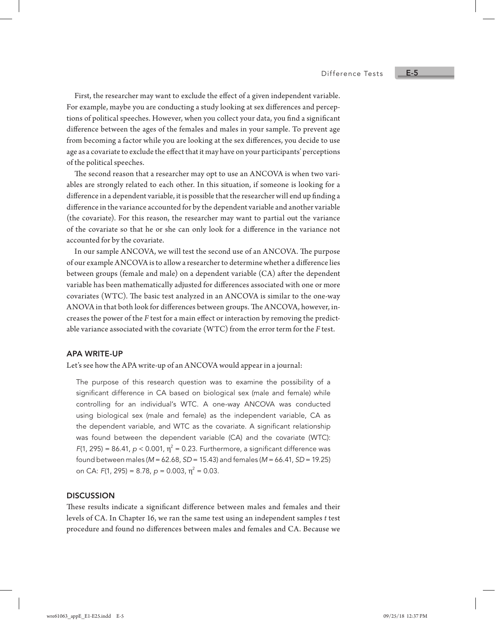First, the researcher may want to exclude the effect of a given independent variable. For example, maybe you are conducting a study looking at sex differences and perceptions of political speeches. However, when you collect your data, you find a significant difference between the ages of the females and males in your sample. To prevent age from becoming a factor while you are looking at the sex differences, you decide to use age as a covariate to exclude the effect that it may have on your participants' perceptions of the political speeches.

The second reason that a researcher may opt to use an ANCOVA is when two variables are strongly related to each other. In this situation, if someone is looking for a difference in a dependent variable, it is possible that the researcher will end up finding a difference in the variance accounted for by the dependent variable and another variable (the covariate). For this reason, the researcher may want to partial out the variance of the covariate so that he or she can only look for a difference in the variance not accounted for by the covariate.

In our sample ANCOVA, we will test the second use of an ANCOVA. The purpose of our example ANCOVA is to allow a researcher to determine whether a difference lies between groups (female and male) on a dependent variable (CA) after the dependent variable has been mathematically adjusted for differences associated with one or more covariates (WTC). The basic test analyzed in an ANCOVA is similar to the one-way ANOVA in that both look for differences between groups. The ANCOVA, however, increases the power of the *F* test for a main effect or interaction by removing the predictable variance associated with the covariate (WTC) from the error term for the *F* test.

#### APA WRITE-UP

Let's see how the APA write-up of an ANCOVA would appear in a journal:

The purpose of this research question was to examine the possibility of a significant difference in CA based on biological sex (male and female) while controlling for an individual's WTC. A one-way ANCOVA was conducted using biological sex (male and female) as the independent variable, CA as the dependent variable, and WTC as the covariate. A significant relationship was found between the dependent variable (CA) and the covariate (WTC):  $F(1, 295) = 86.41$ ,  $p < 0.001$ ,  $\eta^2 = 0.23$ . Furthermore, a significant difference was found between males (*M* = 62.68, *SD* = 15.43) and females (*M* = 66.41, *SD* = 19.25) on CA: *F*(1, 295) = 8.78, *p* = 0.003, η<sup>2</sup> = 0.03.

#### **DISCUSSION**

These results indicate a significant difference between males and females and their levels of CA. In Chapter 16, we ran the same test using an independent samples *t* test procedure and found no differences between males and females and CA. Because we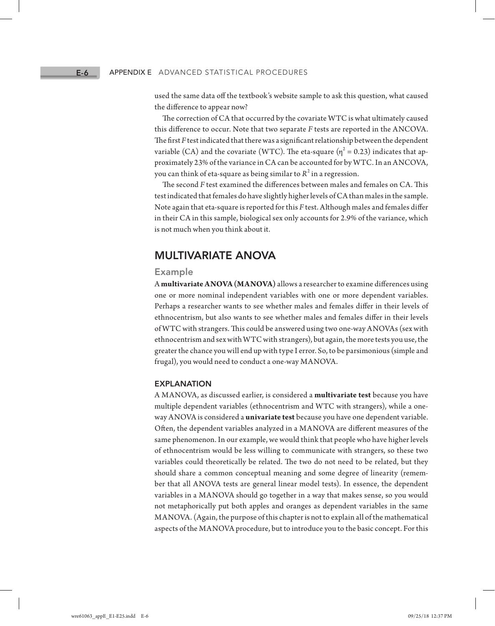used the same data off the textbook's website sample to ask this question, what caused the difference to appear now?

The correction of CA that occurred by the covariate WTC is what ultimately caused this difference to occur. Note that two separate *F* tests are reported in the ANCOVA. The first *F* test indicated that there was a significant relationship between the dependent variable (CA) and the covariate (WTC). The eta-square ( $\eta^2$  = 0.23) indicates that approximately 23% of the variance in CA can be accounted for by WTC. In an ANCOVA, you can think of eta-square as being similar to  $R^2$  in a regression.

The second *F* test examined the differences between males and females on CA. This test indicated that females do have slightly higher levels of CA than males in the sample. Note again that eta-square is reported for this *F* test. Although males and females differ in their CA in this sample, biological sex only accounts for 2.9% of the variance, which is not much when you think about it.

# MULTIVARIATE ANOVA

#### Example

A **multivariate ANOVA (MANOVA)** allows a researcher to examine differences using one or more nominal independent variables with one or more dependent variables. Perhaps a researcher wants to see whether males and females differ in their levels of ethnocentrism, but also wants to see whether males and females differ in their levels of WTC with strangers. This could be answered using two one-way ANOVAs (sex with ethnocentrism and sex with WTC with strangers), but again, the more tests you use, the greater the chance you will end up with type I error. So, to be parsimonious (simple and frugal), you would need to conduct a one-way MANOVA.

#### EXPLANATION

A MANOVA, as discussed earlier, is considered a **multivariate test** because you have multiple dependent variables (ethnocentrism and WTC with strangers), while a oneway ANOVA is considered a **univariate test** because you have one dependent variable. Often, the dependent variables analyzed in a MANOVA are different measures of the same phenomenon. In our example, we would think that people who have higher levels of ethnocentrism would be less willing to communicate with strangers, so these two variables could theoretically be related. The two do not need to be related, but they should share a common conceptual meaning and some degree of linearity (remember that all ANOVA tests are general linear model tests). In essence, the dependent variables in a MANOVA should go together in a way that makes sense, so you would not metaphorically put both apples and oranges as dependent variables in the same MANOVA. (Again, the purpose of this chapter is not to explain all of the mathematical aspects of the MANOVA procedure, but to introduce you to the basic concept. For this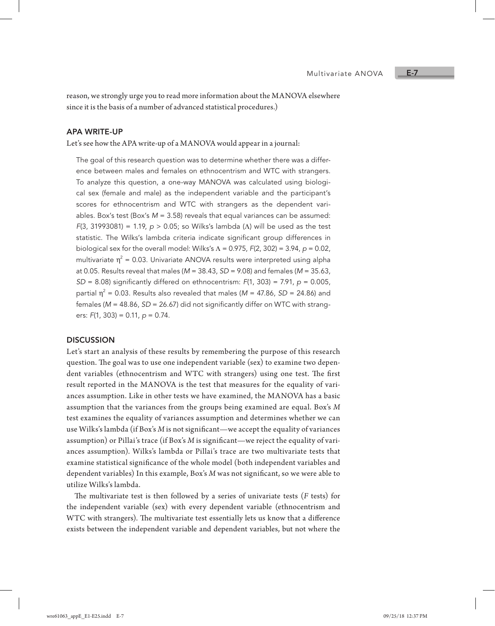reason, we strongly urge you to read more information about the MANOVA elsewhere since it is the basis of a number of advanced statistical procedures.)

#### APA WRITE-UP

Let's see how the APA write-up of a MANOVA would appear in a journal:

The goal of this research question was to determine whether there was a difference between males and females on ethnocentrism and WTC with strangers. To analyze this question, a one-way MANOVA was calculated using biological sex (female and male) as the independent variable and the participant's scores for ethnocentrism and WTC with strangers as the dependent variables. Box's test (Box's *M* = 3.58) reveals that equal variances can be assumed: *F*(3, 31993081) = 1.19, *p* > 0.05; so Wilks's lambda (Λ) will be used as the test statistic. The Wilks's lambda criteria indicate significant group differences in biological sex for the overall model: Wilks's Λ = 0.975, *F*(2, 302) = 3.94, *p* = 0.02, multivariate  $\eta^2$  = 0.03. Univariate ANOVA results were interpreted using alpha at 0.05. Results reveal that males (*M* = 38.43, *SD* = 9.08) and females (*M* = 35.63, *SD* = 8.08) significantly differed on ethnocentrism: *F*(1, 303) = 7.91, *p* = 0.005, partial  $\eta^2$  = 0.03. Results also revealed that males (*M* = 47.86, *SD* = 24.86) and females (*M* = 48.86, *SD* = 26.67) did not significantly differ on WTC with strangers: *F*(1, 303) = 0.11, *p* = 0.74.

#### **DISCUSSION**

Let's start an analysis of these results by remembering the purpose of this research question. The goal was to use one independent variable (sex) to examine two dependent variables (ethnocentrism and WTC with strangers) using one test. The first result reported in the MANOVA is the test that measures for the equality of variances assumption. Like in other tests we have examined, the MANOVA has a basic assumption that the variances from the groups being examined are equal. Box's *M* test examines the equality of variances assumption and determines whether we can use Wilks's lambda (if Box's *M* is not significant—we accept the equality of variances assumption) or Pillai's trace (if Box's *M* is significant—we reject the equality of variances assumption). Wilks's lambda or Pillai's trace are two multivariate tests that examine statistical significance of the whole model (both independent variables and dependent variables) In this example, Box's *M* was not significant, so we were able to utilize Wilks's lambda.

The multivariate test is then followed by a series of univariate tests (*F* tests) for the independent variable (sex) with every dependent variable (ethnocentrism and WTC with strangers). The multivariate test essentially lets us know that a difference exists between the independent variable and dependent variables, but not where the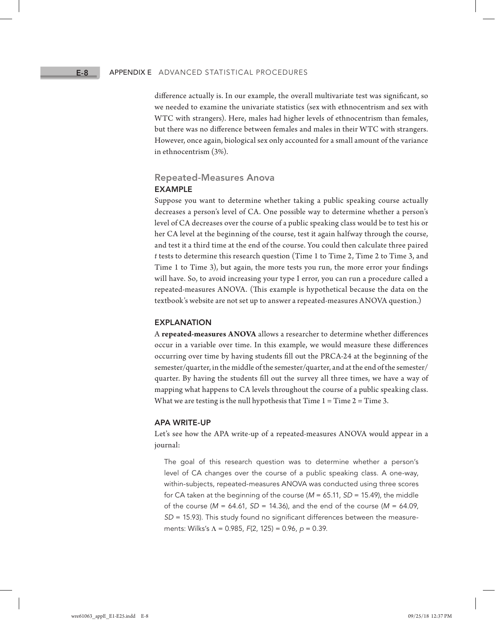difference actually is. In our example, the overall multivariate test was significant, so we needed to examine the univariate statistics (sex with ethnocentrism and sex with WTC with strangers). Here, males had higher levels of ethnocentrism than females, but there was no difference between females and males in their WTC with strangers. However, once again, biological sex only accounted for a small amount of the variance in ethnocentrism (3%).

# Repeated-Measures Anova EXAMPLE

Suppose you want to determine whether taking a public speaking course actually decreases a person's level of CA. One possible way to determine whether a person's level of CA decreases over the course of a public speaking class would be to test his or her CA level at the beginning of the course, test it again halfway through the course, and test it a third time at the end of the course. You could then calculate three paired *t* tests to determine this research question (Time 1 to Time 2, Time 2 to Time 3, and Time 1 to Time 3), but again, the more tests you run, the more error your findings will have. So, to avoid increasing your type I error, you can run a procedure called a repeated-measures ANOVA. (This example is hypothetical because the data on the textbook's website are not set up to answer a repeated-measures ANOVA question.)

#### EXPLANATION

A **repeated-measures ANOVA** allows a researcher to determine whether differences occur in a variable over time. In this example, we would measure these differences occurring over time by having students fill out the PRCA-24 at the beginning of the semester/quarter, in the middle of the semester/quarter, and at the end of the semester/ quarter. By having the students fill out the survey all three times, we have a way of mapping what happens to CA levels throughout the course of a public speaking class. What we are testing is the null hypothesis that Time  $1 =$  Time  $2 =$  Time 3.

#### APA WRITE-UP

Let's see how the APA write-up of a repeated-measures ANOVA would appear in a journal:

The goal of this research question was to determine whether a person's level of CA changes over the course of a public speaking class. A one-way, within-subjects, repeated-measures ANOVA was conducted using three scores for CA taken at the beginning of the course (*M* = 65.11, *SD* = 15.49), the middle of the course (*M* = 64.61, *SD* = 14.36), and the end of the course (*M* = 64.09, *SD* = 15.93). This study found no significant differences between the measurements: Wilks's Λ = 0.985, *F*(2, 125) = 0.96, *p* = 0.39.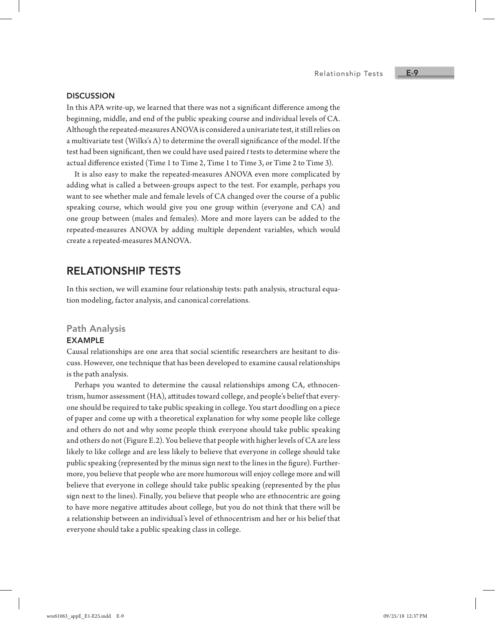#### **DISCUSSION**

In this APA write-up, we learned that there was not a significant difference among the beginning, middle, and end of the public speaking course and individual levels of CA. Although the repeated-measures ANOVA is considered a univariate test, it still relies on a multivariate test (Wilks's  $\Lambda$ ) to determine the overall significance of the model. If the test had been significant, then we could have used paired *t* tests to determine where the actual difference existed (Time 1 to Time 2, Time 1 to Time 3, or Time 2 to Time 3).

It is also easy to make the repeated-measures ANOVA even more complicated by adding what is called a between-groups aspect to the test. For example, perhaps you want to see whether male and female levels of CA changed over the course of a public speaking course, which would give you one group within (everyone and CA) and one group between (males and females). More and more layers can be added to the repeated-measures ANOVA by adding multiple dependent variables, which would create a repeated-measures MANOVA.

# RELATIONSHIP TESTS

In this section, we will examine four relationship tests: path analysis, structural equation modeling, factor analysis, and canonical correlations.

#### Path Analysis

#### EXAMPLE

Causal relationships are one area that social scientific researchers are hesitant to discuss. However, one technique that has been developed to examine causal relationships is the path analysis.

Perhaps you wanted to determine the causal relationships among CA, ethnocentrism, humor assessment (HA), attitudes toward college, and people's belief that everyone should be required to take public speaking in college. You start doodling on a piece of paper and come up with a theoretical explanation for why some people like college and others do not and why some people think everyone should take public speaking and others do not (Figure E.2). You believe that people with higher levels of CA are less likely to like college and are less likely to believe that everyone in college should take public speaking (represented by the minus sign next to the lines in the figure). Furthermore, you believe that people who are more humorous will enjoy college more and will believe that everyone in college should take public speaking (represented by the plus sign next to the lines). Finally, you believe that people who are ethnocentric are going to have more negative attitudes about college, but you do not think that there will be a relationship between an individual's level of ethnocentrism and her or his belief that everyone should take a public speaking class in college.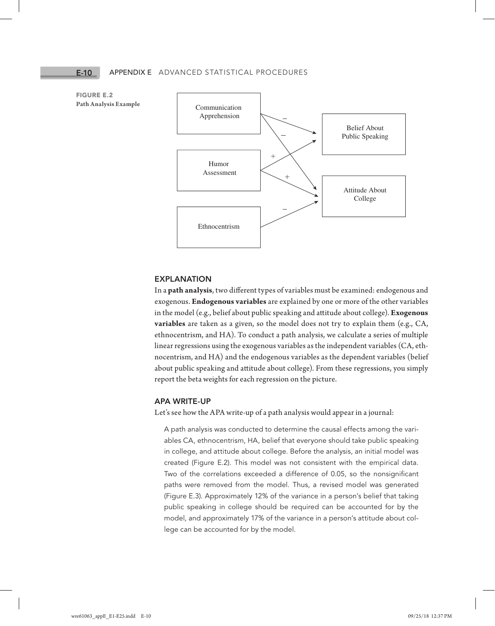FIGURE E.2 **Path Analysis Example**



#### EXPLANATION

In a **path analysis**, two different types of variables must be examined: endogenous and exogenous. **Endogenous variables** are explained by one or more of the other variables in the model (e.g., belief about public speaking and attitude about college). **Exogenous variables** are taken as a given, so the model does not try to explain them (e.g., CA, ethnocentrism, and HA). To conduct a path analysis, we calculate a series of multiple linear regressions using the exogenous variables as the independent variables (CA, ethnocentrism, and HA) and the endogenous variables as the dependent variables (belief about public speaking and attitude about college). From these regressions, you simply report the beta weights for each regression on the picture.

#### APA WRITE-UP

Let's see how the APA write-up of a path analysis would appear in a journal:

A path analysis was conducted to determine the causal effects among the variables CA, ethnocentrism, HA, belief that everyone should take public speaking in college, and attitude about college. Before the analysis, an initial model was created (Figure E.2). This model was not consistent with the empirical data. Two of the correlations exceeded a difference of 0.05, so the nonsignificant paths were removed from the model. Thus, a revised model was generated (Figure E.3). Approximately 12% of the variance in a person's belief that taking public speaking in college should be required can be accounted for by the model, and approximately 17% of the variance in a person's attitude about college can be accounted for by the model.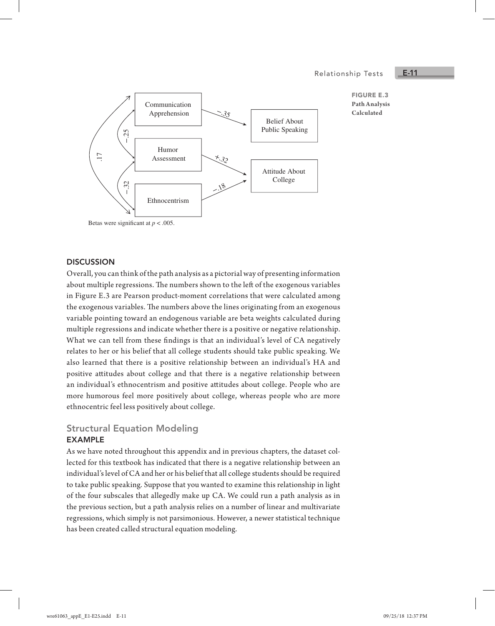#### Relationship Tests

### E-11



#### FIGURE E.3 **Path Analysis Calculated**

#### **DISCUSSION**

Overall, you can think of the path analysis as a pictorial way of presenting information about multiple regressions. The numbers shown to the left of the exogenous variables in Figure E.3 are Pearson product-moment correlations that were calculated among the exogenous variables. The numbers above the lines originating from an exogenous variable pointing toward an endogenous variable are beta weights calculated during multiple regressions and indicate whether there is a positive or negative relationship. What we can tell from these findings is that an individual's level of CA negatively relates to her or his belief that all college students should take public speaking. We also learned that there is a positive relationship between an individual's HA and positive attitudes about college and that there is a negative relationship between an individual's ethnocentrism and positive attitudes about college. People who are more humorous feel more positively about college, whereas people who are more ethnocentric feel less positively about college.

# Structural Equation Modeling

#### EXAMPLE

As we have noted throughout this appendix and in previous chapters, the dataset collected for this textbook has indicated that there is a negative relationship between an individual's level of CA and her or his belief that all college students should be required to take public speaking. Suppose that you wanted to examine this relationship in light of the four subscales that allegedly make up CA. We could run a path analysis as in the previous section, but a path analysis relies on a number of linear and multivariate regressions, which simply is not parsimonious. However, a newer statistical technique has been created called structural equation modeling.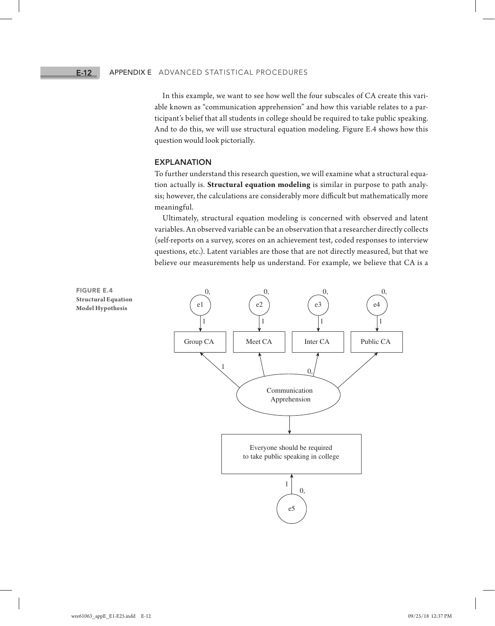In this example, we want to see how well the four subscales of CA create this variable known as "communication apprehension" and how this variable relates to a participant's belief that all students in college should be required to take public speaking. And to do this, we will use structural equation modeling. Figure E.4 shows how this question would look pictorially.

#### EXPLANATION

To further understand this research question, we will examine what a structural equation actually is. **Structural equation modeling** is similar in purpose to path analysis; however, the calculations are considerably more difficult but mathematically more meaningful.

Ultimately, structural equation modeling is concerned with observed and latent variables. An observed variable can be an observation that a researcher directly collects (self-reports on a survey, scores on an achievement test, coded responses to interview questions, etc.). Latent variables are those that are not directly measured, but that we believe our measurements help us understand. For example, we believe that CA is a



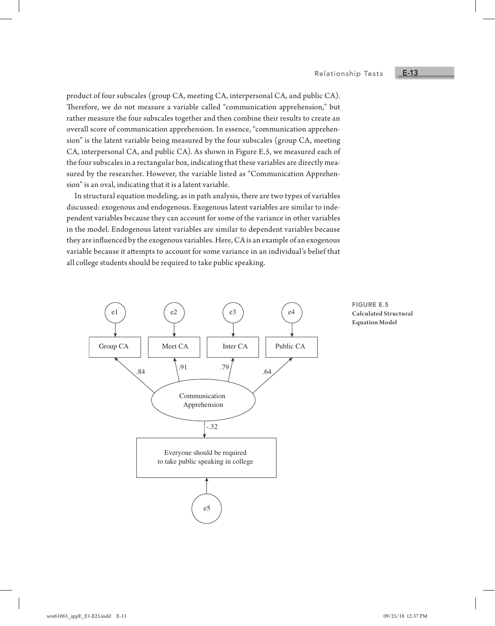product of four subscales (group CA, meeting CA, interpersonal CA, and public CA). Therefore, we do not measure a variable called "communication apprehension," but rather measure the four subscales together and then combine their results to create an overall score of communication apprehension. In essence, "communication apprehension" is the latent variable being measured by the four subscales (group CA, meeting CA, interpersonal CA, and public CA). As shown in Figure E.5, we measured each of the four subscales in a rectangular box, indicating that these variables are directly measured by the researcher. However, the variable listed as "Communication Apprehension" is an oval, indicating that it is a latent variable.

In structural equation modeling, as in path analysis, there are two types of variables discussed: exogenous and endogenous. Exogenous latent variables are similar to independent variables because they can account for some of the variance in other variables in the model. Endogenous latent variables are similar to dependent variables because they are influenced by the exogenous variables. Here, CA is an example of an exogenous variable because it attempts to account for some variance in an individual's belief that all college students should be required to take public speaking.



FIGURE E.5 **Calculated Structural Equation Model**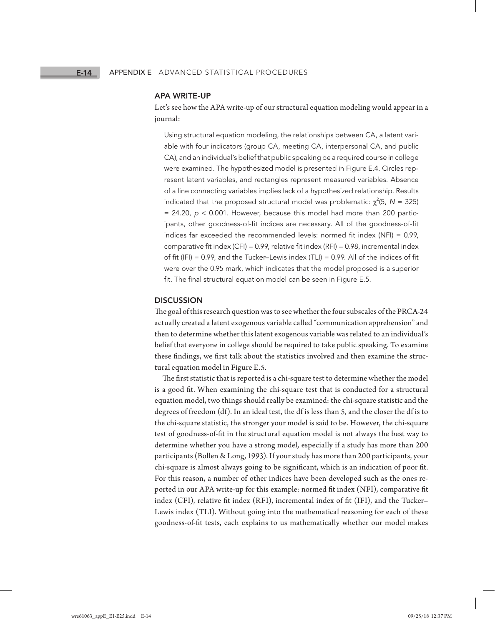#### APA WRITE-UP

Let's see how the APA write-up of our structural equation modeling would appear in a journal:

Using structural equation modeling, the relationships between CA, a latent variable with four indicators (group CA, meeting CA, interpersonal CA, and public CA), and an individual's belief that public speaking be a required course in college were examined. The hypothesized model is presented in Figure E.4. Circles represent latent variables, and rectangles represent measured variables. Absence of a line connecting variables implies lack of a hypothesized relationship. Results indicated that the proposed structural model was problematic:  $\chi^2$ (5, N = 325)  $= 24.20$ ,  $p < 0.001$ . However, because this model had more than 200 participants, other goodness-of-fit indices are necessary. All of the goodness-of-fit indices far exceeded the recommended levels: normed fit index (NFI) = 0.99, comparative fit index (CFI) = 0.99, relative fit index (RFI) = 0.98, incremental index of fit (IFI) = 0.99, and the Tucker–Lewis index (TLI) = 0.99. All of the indices of fit were over the 0.95 mark, which indicates that the model proposed is a superior fit. The final structural equation model can be seen in Figure E.5.

#### **DISCUSSION**

The goal of this research question was to see whether the four subscales of the PRCA-24 actually created a latent exogenous variable called "communication apprehension" and then to determine whether this latent exogenous variable was related to an individual's belief that everyone in college should be required to take public speaking. To examine these findings, we first talk about the statistics involved and then examine the structural equation model in Figure E.5.

The first statistic that is reported is a chi-square test to determine whether the model is a good fit. When examining the chi-square test that is conducted for a structural equation model, two things should really be examined: the chi-square statistic and the degrees of freedom (df). In an ideal test, the df is less than 5, and the closer the df is to the chi-square statistic, the stronger your model is said to be. However, the chi-square test of goodness-of-fit in the structural equation model is not always the best way to determine whether you have a strong model, especially if a study has more than 200 participants (Bollen & Long, 1993). If your study has more than 200 participants, your chi-square is almost always going to be significant, which is an indication of poor fit. For this reason, a number of other indices have been developed such as the ones reported in our APA write-up for this example: normed fit index (NFI), comparative fit index (CFI), relative fit index (RFI), incremental index of fit (IFI), and the Tucker– Lewis index (TLI). Without going into the mathematical reasoning for each of these goodness-of-fit tests, each explains to us mathematically whether our model makes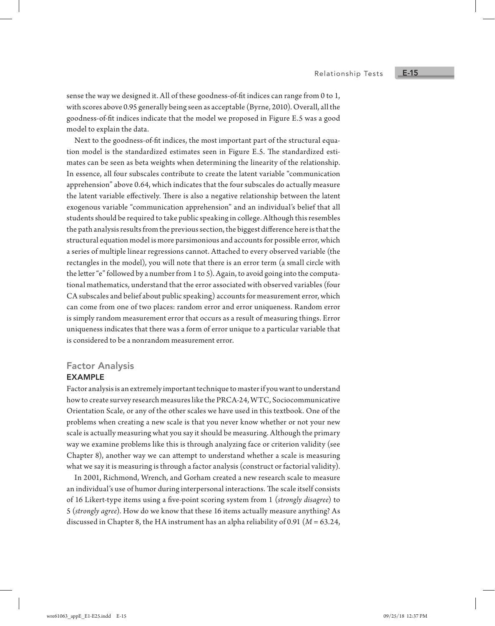sense the way we designed it. All of these goodness-of-fit indices can range from 0 to 1, with scores above 0.95 generally being seen as acceptable (Byrne, 2010). Overall, all the goodness-of-fit indices indicate that the model we proposed in Figure E.5 was a good model to explain the data.

Next to the goodness-of-fit indices, the most important part of the structural equation model is the standardized estimates seen in Figure E.5. The standardized estimates can be seen as beta weights when determining the linearity of the relationship. In essence, all four subscales contribute to create the latent variable "communication apprehension" above 0.64, which indicates that the four subscales do actually measure the latent variable effectively. There is also a negative relationship between the latent exogenous variable "communication apprehension" and an individual's belief that all students should be required to take public speaking in college. Although this resembles the path analysis results from the previous section, the biggest difference here is that the structural equation model is more parsimonious and accounts for possible error, which a series of multiple linear regressions cannot. Attached to every observed variable (the rectangles in the model), you will note that there is an error term (a small circle with the letter "e" followed by a number from 1 to 5). Again, to avoid going into the computational mathematics, understand that the error associated with observed variables (four CA subscales and belief about public speaking) accounts for measurement error, which can come from one of two places: random error and error uniqueness. Random error is simply random measurement error that occurs as a result of measuring things. Error uniqueness indicates that there was a form of error unique to a particular variable that is considered to be a nonrandom measurement error.

#### Factor Analysis

#### EXAMPLE

Factor analysis is an extremely important technique to master if you want to understand how to create survey research measures like the PRCA-24, WTC, Sociocommunicative Orientation Scale, or any of the other scales we have used in this textbook. One of the problems when creating a new scale is that you never know whether or not your new scale is actually measuring what you say it should be measuring. Although the primary way we examine problems like this is through analyzing face or criterion validity (see Chapter 8), another way we can attempt to understand whether a scale is measuring what we say it is measuring is through a factor analysis (construct or factorial validity).

In 2001, Richmond, Wrench, and Gorham created a new research scale to measure an individual's use of humor during interpersonal interactions. The scale itself consists of 16 Likert-type items using a five-point scoring system from 1 (*strongly disagree*) to 5 (*strongly agree*). How do we know that these 16 items actually measure anything? As discussed in Chapter 8, the HA instrument has an alpha reliability of 0.91 (*M* = 63.24,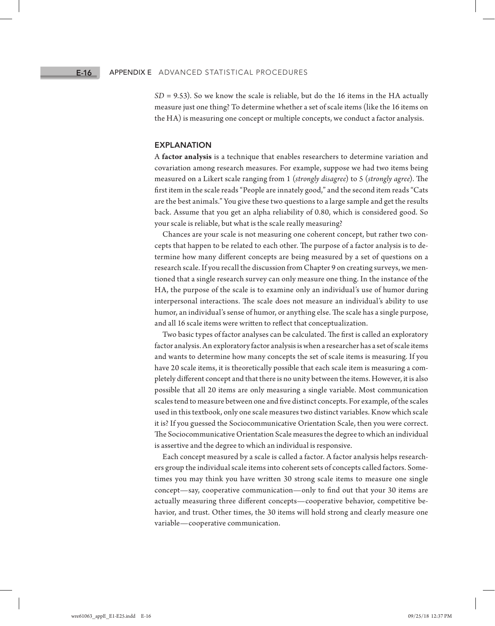$SD = 9.53$ ). So we know the scale is reliable, but do the 16 items in the HA actually measure just one thing? To determine whether a set of scale items (like the 16 items on the HA) is measuring one concept or multiple concepts, we conduct a factor analysis.

#### EXPLANATION

A **factor analysis** is a technique that enables researchers to determine variation and covariation among research measures. For example, suppose we had two items being measured on a Likert scale ranging from 1 (*strongly disagree*) to 5 (*strongly agree*). The first item in the scale reads "People are innately good," and the second item reads "Cats are the best animals." You give these two questions to a large sample and get the results back. Assume that you get an alpha reliability of 0.80, which is considered good. So your scale is reliable, but what is the scale really measuring?

Chances are your scale is not measuring one coherent concept, but rather two concepts that happen to be related to each other. The purpose of a factor analysis is to determine how many different concepts are being measured by a set of questions on a research scale. If you recall the discussion from Chapter 9 on creating surveys, we mentioned that a single research survey can only measure one thing. In the instance of the HA, the purpose of the scale is to examine only an individual's use of humor during interpersonal interactions. The scale does not measure an individual's ability to use humor, an individual's sense of humor, or anything else. The scale has a single purpose, and all 16 scale items were written to reflect that conceptualization.

Two basic types of factor analyses can be calculated. The first is called an exploratory factor analysis. An exploratory factor analysis is when a researcher has a set of scale items and wants to determine how many concepts the set of scale items is measuring. If you have 20 scale items, it is theoretically possible that each scale item is measuring a completely different concept and that there is no unity between the items. However, it is also possible that all 20 items are only measuring a single variable. Most communication scales tend to measure between one and five distinct concepts. For example, of the scales used in this textbook, only one scale measures two distinct variables. Know which scale it is? If you guessed the Sociocommunicative Orientation Scale, then you were correct. The Sociocommunicative Orientation Scale measures the degree to which an individual is assertive and the degree to which an individual is responsive.

Each concept measured by a scale is called a factor. A factor analysis helps researchers group the individual scale items into coherent sets of concepts called factors. Sometimes you may think you have written 30 strong scale items to measure one single concept—say, cooperative communication—only to find out that your 30 items are actually measuring three different concepts—cooperative behavior, competitive behavior, and trust. Other times, the 30 items will hold strong and clearly measure one variable—cooperative communication.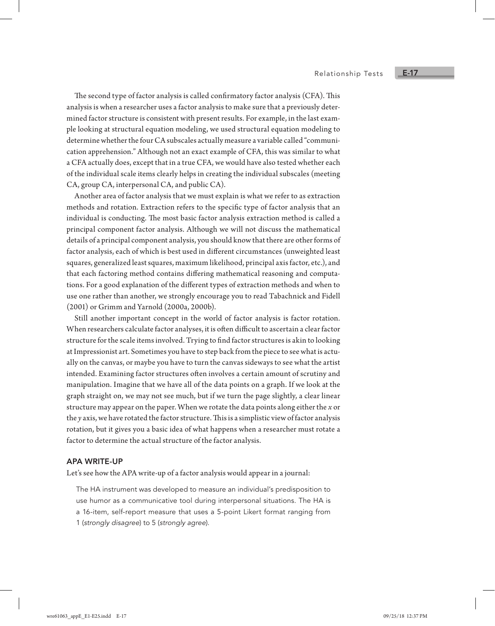The second type of factor analysis is called confirmatory factor analysis (CFA). This analysis is when a researcher uses a factor analysis to make sure that a previously determined factor structure is consistent with present results. For example, in the last example looking at structural equation modeling, we used structural equation modeling to determine whether the four CA subscales actually measure a variable called "communication apprehension." Although not an exact example of CFA, this was similar to what a CFA actually does, except that in a true CFA, we would have also tested whether each of the individual scale items clearly helps in creating the individual subscales (meeting CA, group CA, interpersonal CA, and public CA).

Another area of factor analysis that we must explain is what we refer to as extraction methods and rotation. Extraction refers to the specific type of factor analysis that an individual is conducting. The most basic factor analysis extraction method is called a principal component factor analysis. Although we will not discuss the mathematical details of a principal component analysis, you should know that there are other forms of factor analysis, each of which is best used in different circumstances (unweighted least squares, generalized least squares, maximum likelihood, principal axis factor, etc.), and that each factoring method contains differing mathematical reasoning and computations. For a good explanation of the different types of extraction methods and when to use one rather than another, we strongly encourage you to read Tabachnick and Fidell (2001) or Grimm and Yarnold (2000a, 2000b).

Still another important concept in the world of factor analysis is factor rotation. When researchers calculate factor analyses, it is often difficult to ascertain a clear factor structure for the scale items involved. Trying to find factor structures is akin to looking at Impressionist art. Sometimes you have to step back from the piece to see what is actually on the canvas, or maybe you have to turn the canvas sideways to see what the artist intended. Examining factor structures often involves a certain amount of scrutiny and manipulation. Imagine that we have all of the data points on a graph. If we look at the graph straight on, we may not see much, but if we turn the page slightly, a clear linear structure may appear on the paper. When we rotate the data points along either the *x* or the *y* axis, we have rotated the factor structure. This is a simplistic view of factor analysis rotation, but it gives you a basic idea of what happens when a researcher must rotate a factor to determine the actual structure of the factor analysis.

#### APA WRITE-UP

Let's see how the APA write-up of a factor analysis would appear in a journal:

The HA instrument was developed to measure an individual's predisposition to use humor as a communicative tool during interpersonal situations. The HA is a 16-item, self-report measure that uses a 5-point Likert format ranging from 1 (*strongly disagree*) to 5 (*strongly agree*).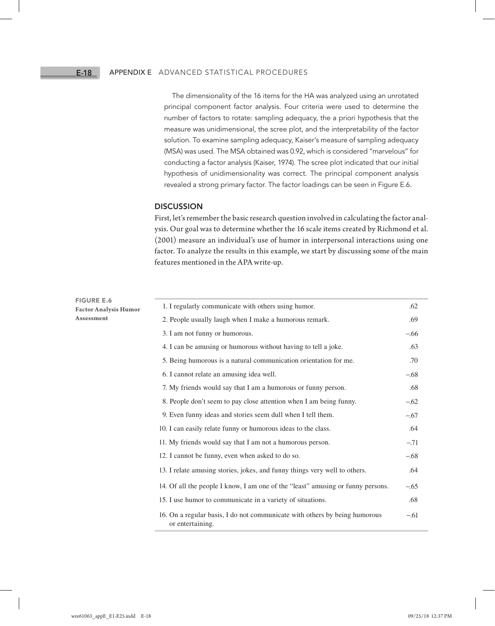#### E-18

#### Appendix E Advanced Statistical Procedures

The dimensionality of the 16 items for the HA was analyzed using an unrotated principal component factor analysis. Four criteria were used to determine the number of factors to rotate: sampling adequacy, the a priori hypothesis that the measure was unidimensional, the scree plot, and the interpretability of the factor solution. To examine sampling adequacy, Kaiser's measure of sampling adequacy (MSA) was used. The MSA obtained was 0.92, which is considered "marvelous" for conducting a factor analysis (Kaiser, 1974). The scree plot indicated that our initial hypothesis of unidimensionality was correct. The principal component analysis revealed a strong primary factor. The factor loadings can be seen in Figure E.6.

#### **DISCUSSION**

First, let's remember the basic research question involved in calculating the factor analysis. Our goal was to determine whether the 16 scale items created by Richmond et al. (2001) measure an individual's use of humor in interpersonal interactions using one factor. To analyze the results in this example, we start by discussing some of the main features mentioned in the APA write-up.

| <b>FIGURE E.6</b><br><b>Factor Analysis Humor</b> | 1. I regularly communicate with others using humor.                                            | .62    |
|---------------------------------------------------|------------------------------------------------------------------------------------------------|--------|
| Assessment                                        | 2. People usually laugh when I make a humorous remark.                                         | .69    |
|                                                   | 3. I am not funny or humorous.                                                                 | $-.66$ |
|                                                   | 4. I can be amusing or humorous without having to tell a joke.                                 | .63    |
|                                                   | 5. Being humorous is a natural communication orientation for me.                               | .70    |
|                                                   | 6. I cannot relate an amusing idea well.                                                       | $-.68$ |
|                                                   | 7. My friends would say that I am a humorous or funny person.                                  | .68    |
|                                                   | 8. People don't seem to pay close attention when I am being funny.                             | $-.62$ |
|                                                   | 9. Even funny ideas and stories seem dull when I tell them.                                    | $-.67$ |
|                                                   | 10. I can easily relate funny or humorous ideas to the class.                                  | .64    |
|                                                   | 11. My friends would say that I am not a humorous person.                                      | $-.71$ |
|                                                   | 12. I cannot be funny, even when asked to do so.                                               | $-.68$ |
|                                                   | 13. I relate amusing stories, jokes, and funny things very well to others.                     | .64    |
|                                                   | 14. Of all the people I know, I am one of the "least" amusing or funny persons.                | $-.65$ |
|                                                   | 15. I use humor to communicate in a variety of situations.                                     | .68    |
|                                                   | 16. On a regular basis, I do not communicate with others by being humorous<br>or entertaining. | $-.61$ |
|                                                   |                                                                                                |        |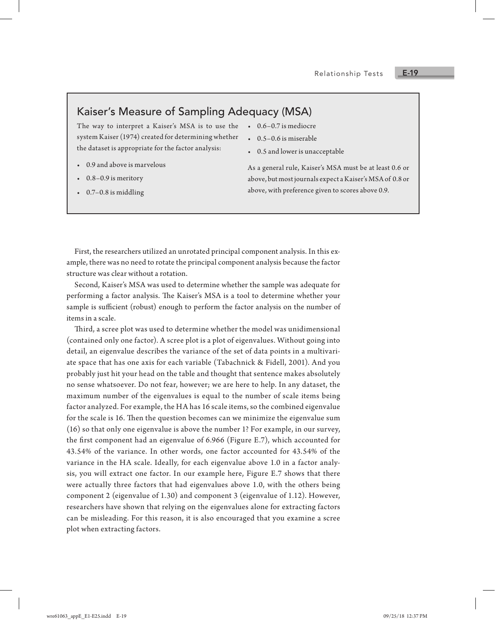E-19

# Kaiser's Measure of Sampling Adequacy (MSA)

The way to interpret a Kaiser's MSA is to use the system Kaiser (1974) created for determining whether the dataset is appropriate for the factor analysis:

- 0.9 and above is marvelous
- 0.8–0.9 is meritory
- 0.7–0.8 is middling

• 0.6–0.7 is mediocre

- 0.5–0.6 is miserable
- 0.5 and lower is unacceptable

As a general rule, Kaiser's MSA must be at least 0.6 or above, but most journals expect a Kaiser's MSA of 0.8 or above, with preference given to scores above 0.9.

First, the researchers utilized an unrotated principal component analysis. In this example, there was no need to rotate the principal component analysis because the factor structure was clear without a rotation.

Second, Kaiser's MSA was used to determine whether the sample was adequate for performing a factor analysis. The Kaiser's MSA is a tool to determine whether your sample is sufficient (robust) enough to perform the factor analysis on the number of items in a scale.

Third, a scree plot was used to determine whether the model was unidimensional (contained only one factor). A scree plot is a plot of eigenvalues. Without going into detail, an eigenvalue describes the variance of the set of data points in a multivariate space that has one axis for each variable (Tabachnick & Fidell, 2001). And you probably just hit your head on the table and thought that sentence makes absolutely no sense whatsoever. Do not fear, however; we are here to help. In any dataset, the maximum number of the eigenvalues is equal to the number of scale items being factor analyzed. For example, the HA has 16 scale items, so the combined eigenvalue for the scale is 16. Then the question becomes can we minimize the eigenvalue sum (16) so that only one eigenvalue is above the number 1? For example, in our survey, the first component had an eigenvalue of 6.966 (Figure E.7), which accounted for 43.54% of the variance. In other words, one factor accounted for 43.54% of the variance in the HA scale. Ideally, for each eigenvalue above 1.0 in a factor analysis, you will extract one factor. In our example here, Figure E.7 shows that there were actually three factors that had eigenvalues above 1.0, with the others being component 2 (eigenvalue of 1.30) and component 3 (eigenvalue of 1.12). However, researchers have shown that relying on the eigenvalues alone for extracting factors can be misleading. For this reason, it is also encouraged that you examine a scree plot when extracting factors.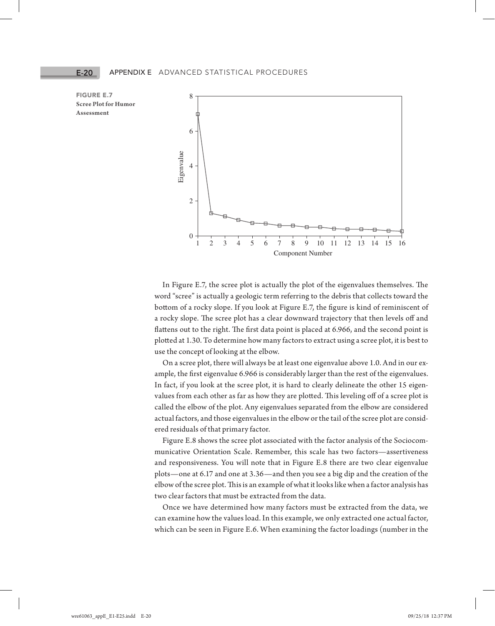



In Figure E.7, the scree plot is actually the plot of the eigenvalues themselves. The word "scree" is actually a geologic term referring to the debris that collects toward the bottom of a rocky slope. If you look at Figure E.7, the figure is kind of reminiscent of a rocky slope. The scree plot has a clear downward trajectory that then levels off and flattens out to the right. The first data point is placed at 6.966, and the second point is plotted at 1.30. To determine how many factors to extract using a scree plot, it is best to use the concept of looking at the elbow.

On a scree plot, there will always be at least one eigenvalue above 1.0. And in our example, the first eigenvalue 6.966 is considerably larger than the rest of the eigenvalues. In fact, if you look at the scree plot, it is hard to clearly delineate the other 15 eigenvalues from each other as far as how they are plotted. This leveling off of a scree plot is called the elbow of the plot. Any eigenvalues separated from the elbow are considered actual factors, and those eigenvalues in the elbow or the tail of the scree plot are considered residuals of that primary factor.

Figure E.8 shows the scree plot associated with the factor analysis of the Sociocommunicative Orientation Scale. Remember, this scale has two factors—assertiveness and responsiveness. You will note that in Figure E.8 there are two clear eigenvalue plots—one at 6.17 and one at 3.36—and then you see a big dip and the creation of the elbow of the scree plot. This is an example of what it looks like when a factor analysis has two clear factors that must be extracted from the data.

Once we have determined how many factors must be extracted from the data, we can examine how the values load. In this example, we only extracted one actual factor, which can be seen in Figure E.6. When examining the factor loadings (number in the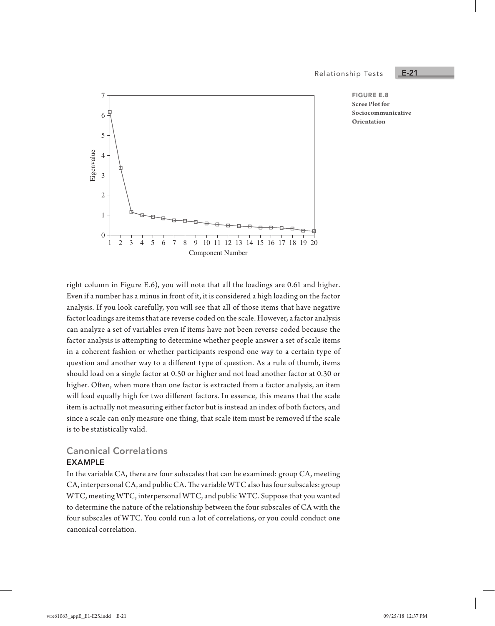Relationship Tests

E-21

FIGURE E.8 **Scree Plot for Sociocommunicative Orientation**



right column in Figure E.6), you will note that all the loadings are 0.61 and higher. Even if a number has a minus in front of it, it is considered a high loading on the factor analysis. If you look carefully, you will see that all of those items that have negative factor loadings are items that are reverse coded on the scale. However, a factor analysis can analyze a set of variables even if items have not been reverse coded because the factor analysis is attempting to determine whether people answer a set of scale items in a coherent fashion or whether participants respond one way to a certain type of question and another way to a different type of question. As a rule of thumb, items should load on a single factor at 0.50 or higher and not load another factor at 0.30 or higher. Often, when more than one factor is extracted from a factor analysis, an item will load equally high for two different factors. In essence, this means that the scale item is actually not measuring either factor but is instead an index of both factors, and since a scale can only measure one thing, that scale item must be removed if the scale is to be statistically valid.

# Canonical Correlations

#### EXAMPLE

In the variable CA, there are four subscales that can be examined: group CA, meeting CA, interpersonal CA, and public CA. The variable WTC also has four subscales: group WTC, meeting WTC, interpersonal WTC, and public WTC. Suppose that you wanted to determine the nature of the relationship between the four subscales of CA with the four subscales of WTC. You could run a lot of correlations, or you could conduct one canonical correlation.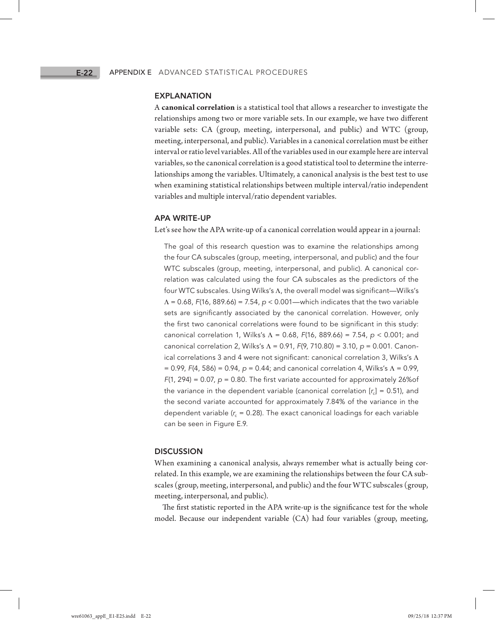#### EXPLANATION

A **canonical correlation** is a statistical tool that allows a researcher to investigate the relationships among two or more variable sets. In our example, we have two different variable sets: CA (group, meeting, interpersonal, and public) and WTC (group, meeting, interpersonal, and public). Variables in a canonical correlation must be either interval or ratio level variables. All of the variables used in our example here are interval variables, so the canonical correlation is a good statistical tool to determine the interrelationships among the variables. Ultimately, a canonical analysis is the best test to use when examining statistical relationships between multiple interval/ratio independent variables and multiple interval/ratio dependent variables.

#### APA WRITE-UP

Let's see how the APA write-up of a canonical correlation would appear in a journal:

The goal of this research question was to examine the relationships among the four CA subscales (group, meeting, interpersonal, and public) and the four WTC subscales (group, meeting, interpersonal, and public). A canonical correlation was calculated using the four CA subscales as the predictors of the four WTC subscales. Using Wilks's Λ, the overall model was significant—Wilks's Λ = 0.68, *F*(16, 889.66) = 7.54, *p* < 0.001—which indicates that the two variable sets are significantly associated by the canonical correlation. However, only the first two canonical correlations were found to be significant in this study: canonical correlation 1, Wilks's Λ = 0.68, *F*(16, 889.66) = 7.54, *p* < 0.001; and canonical correlation 2, Wilks's Λ = 0.91, *F*(9, 710.80) = 3.10, *p* = 0.001. Canonical correlations 3 and 4 were not significant: canonical correlation 3, Wilks's Λ = 0.99, *F*(4, 586) = 0.94, *p* = 0.44; and canonical correlation 4, Wilks's Λ = 0.99, *F*(1, 294) = 0.07, *p* = 0.80. The first variate accounted for approximately 26%of the variance in the dependent variable (canonical correlation  $[r_c] = 0.51$ ), and the second variate accounted for approximately 7.84% of the variance in the dependent variable  $(r_c = 0.28)$ . The exact canonical loadings for each variable can be seen in Figure E.9.

#### **DISCUSSION**

When examining a canonical analysis, always remember what is actually being correlated. In this example, we are examining the relationships between the four CA subscales (group, meeting, interpersonal, and public) and the four WTC subscales (group, meeting, interpersonal, and public).

The first statistic reported in the APA write-up is the significance test for the whole model. Because our independent variable (CA) had four variables (group, meeting,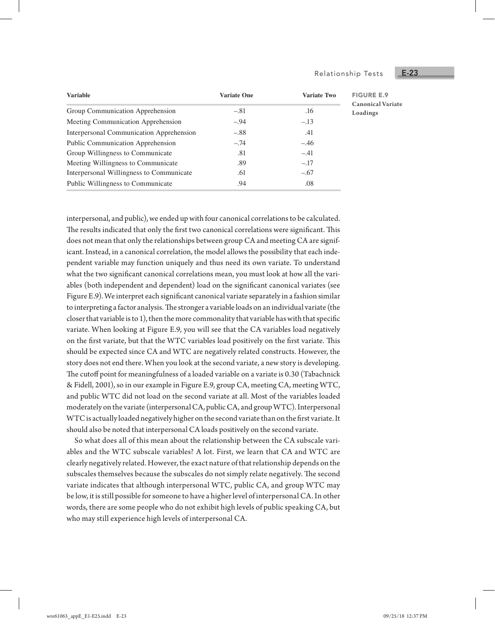#### Relationship Tests

| <b>Variable</b>                          | <b>Variate One</b> | <b>Variate Two</b> | <b>FIGURE E.9</b>                    |  |
|------------------------------------------|--------------------|--------------------|--------------------------------------|--|
| Group Communication Apprehension         | $-.81$             | .16                | <b>Canonical Variate</b><br>Loadings |  |
| Meeting Communication Apprehension       | $-.94$             | $-.13$             |                                      |  |
| Interpersonal Communication Apprehension | $-.88$             | .41                |                                      |  |
| Public Communication Apprehension        | $-.74$             | $-.46$             |                                      |  |
| Group Willingness to Communicate         | .81                | $-.41$             |                                      |  |
| Meeting Willingness to Communicate       | .89                | $-.17$             |                                      |  |
| Interpersonal Willingness to Communicate | .61                | $-.67$             |                                      |  |
| Public Willingness to Communicate        | .94                | .08                |                                      |  |

interpersonal, and public), we ended up with four canonical correlations to be calculated. The results indicated that only the first two canonical correlations were significant. This does not mean that only the relationships between group CA and meeting CA are significant. Instead, in a canonical correlation, the model allows the possibility that each independent variable may function uniquely and thus need its own variate. To understand what the two significant canonical correlations mean, you must look at how all the variables (both independent and dependent) load on the significant canonical variates (see Figure E.9). We interpret each significant canonical variate separately in a fashion similar to interpreting a factor analysis. The stronger a variable loads on an individual variate (the closer that variable is to 1), then the more commonality that variable has with that specific variate. When looking at Figure E.9, you will see that the CA variables load negatively on the first variate, but that the WTC variables load positively on the first variate. This should be expected since CA and WTC are negatively related constructs. However, the story does not end there. When you look at the second variate, a new story is developing. The cutoff point for meaningfulness of a loaded variable on a variate is 0.30 (Tabachnick & Fidell, 2001), so in our example in Figure E.9, group CA, meeting CA, meeting WTC, and public WTC did not load on the second variate at all. Most of the variables loaded moderately on the variate (interpersonal CA, public CA, and group WTC). Interpersonal WTC is actually loaded negatively higher on the second variate than on the first variate. It should also be noted that interpersonal CA loads positively on the second variate.

So what does all of this mean about the relationship between the CA subscale variables and the WTC subscale variables? A lot. First, we learn that CA and WTC are clearly negatively related. However, the exact nature of that relationship depends on the subscales themselves because the subscales do not simply relate negatively. The second variate indicates that although interpersonal WTC, public CA, and group WTC may be low, it is still possible for someone to have a higher level of interpersonal CA. In other words, there are some people who do not exhibit high levels of public speaking CA, but who may still experience high levels of interpersonal CA.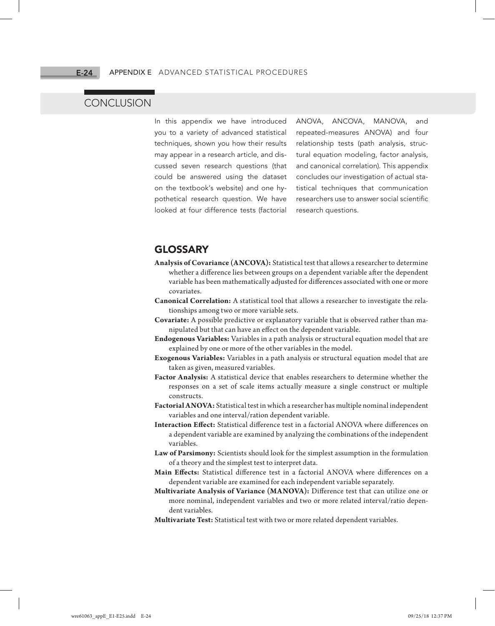#### E-24

# **CONCLUSION**

In this appendix we have introduced you to a variety of advanced statistical techniques, shown you how their results may appear in a research article, and discussed seven research questions (that could be answered using the dataset on the textbook's website) and one hypothetical research question. We have looked at four difference tests (factorial

ANOVA, ANCOVA, MANOVA, and repeated-measures ANOVA) and four relationship tests (path analysis, structural equation modeling, factor analysis, and canonical correlation). This appendix concludes our investigation of actual statistical techniques that communication researchers use to answer social scientific research questions.

# GLOSSARY

- **Analysis of Covariance (ANCOVA):** Statistical test that allows a researcher to determine whether a difference lies between groups on a dependent variable after the dependent variable has been mathematically adjusted for differences associated with one or more covariates.
- **Canonical Correlation:** A statistical tool that allows a researcher to investigate the relationships among two or more variable sets.
- **Covariate:** A possible predictive or explanatory variable that is observed rather than manipulated but that can have an effect on the dependent variable.
- **Endogenous Variables:** Variables in a path analysis or structural equation model that are explained by one or more of the other variables in the model.
- **Exogenous Variables:** Variables in a path analysis or structural equation model that are taken as given, measured variables.
- **Factor Analysis:** A statistical device that enables researchers to determine whether the responses on a set of scale items actually measure a single construct or multiple constructs.
- **Factorial ANOVA:** Statistical test in which a researcher has multiple nominal independent variables and one interval/ration dependent variable.
- **Interaction Effect:** Statistical difference test in a factorial ANOVA where differences on a dependent variable are examined by analyzing the combinations of the independent variables.
- **Law of Parsimony:** Scientists should look for the simplest assumption in the formulation of a theory and the simplest test to interpret data.
- **Main Effects:** Statistical difference test in a factorial ANOVA where differences on a dependent variable are examined for each independent variable separately.
- **Multivariate Analysis of Variance (MANOVA):** Difference test that can utilize one or more nominal, independent variables and two or more related interval/ratio dependent variables.
- **Multivariate Test:** Statistical test with two or more related dependent variables.